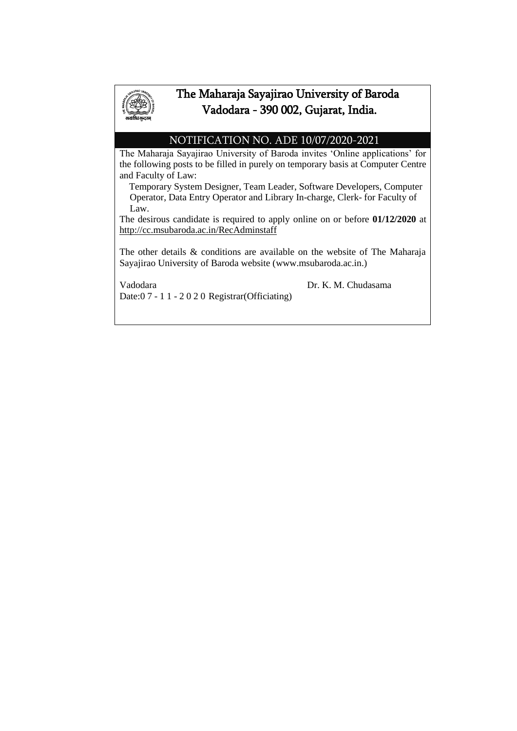

## The Maharaja Sayajirao University of Baroda Vadodara - 390 002, Gujarat, India.

#### NOTIFICATION NO. ADE 10/07/2020-2021

The Maharaja Sayajirao University of Baroda invites 'Online applications' for the following posts to be filled in purely on temporary basis at Computer Centre and Faculty of Law:

 Temporary System Designer, Team Leader, Software Developers, Computer Operator, Data Entry Operator and Library In-charge, Clerk- for Faculty of Law.

The desirous candidate is required to apply online on or before **01/12/2020** at http://cc.msubaroda.ac.in/RecAdminstaff

The other details & conditions are available on the website of The Maharaja Sayajirao University of Baroda website [\(www.msubaroda.ac.in.](http://www.msubaroda.ac.in/))

Date:0 7 - 1 1 - 2020 Registrar(Officiating)

Vadodara Dr. K. M. Chudasama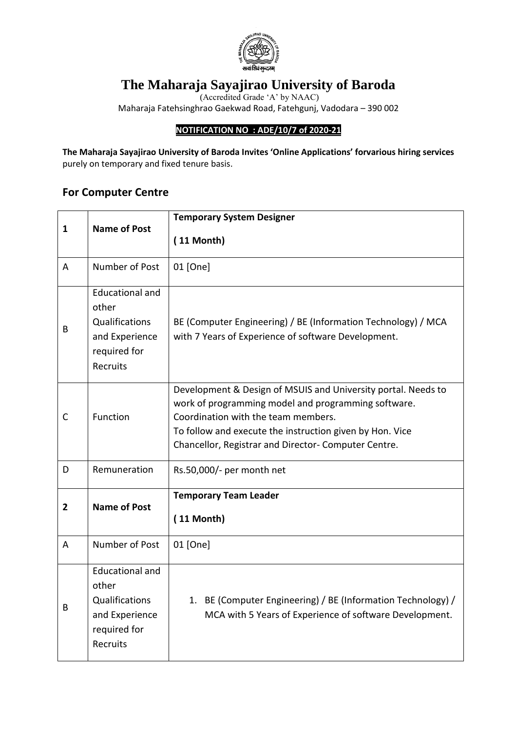

# **The Maharaja Sayajirao University of Baroda**

(Accredited Grade 'A' by NAAC) Maharaja Fatehsinghrao Gaekwad Road, Fatehgunj, Vadodara – 390 002

#### **NOTIFICATION NO : ADE/10/7 of 2020-21**

**The Maharaja Sayajirao University of Baroda Invites 'Online Applications' forvarious hiring services**  purely on temporary and fixed tenure basis.

### **For Computer Centre**

|                | <b>Name of Post</b>                                                                             | <b>Temporary System Designer</b>                                                                                                                                                                                                                                                |  |  |  |
|----------------|-------------------------------------------------------------------------------------------------|---------------------------------------------------------------------------------------------------------------------------------------------------------------------------------------------------------------------------------------------------------------------------------|--|--|--|
| 1              |                                                                                                 | $(11 \text{ month})$                                                                                                                                                                                                                                                            |  |  |  |
| A              | Number of Post                                                                                  | 01 [One]                                                                                                                                                                                                                                                                        |  |  |  |
| B              | <b>Educational and</b><br>other<br>Qualifications<br>and Experience<br>required for<br>Recruits | BE (Computer Engineering) / BE (Information Technology) / MCA<br>with 7 Years of Experience of software Development.                                                                                                                                                            |  |  |  |
| $\mathsf{C}$   | Function                                                                                        | Development & Design of MSUIS and University portal. Needs to<br>work of programming model and programming software.<br>Coordination with the team members.<br>To follow and execute the instruction given by Hon. Vice<br>Chancellor, Registrar and Director- Computer Centre. |  |  |  |
| D              | Remuneration                                                                                    | Rs.50,000/- per month net                                                                                                                                                                                                                                                       |  |  |  |
| $\overline{2}$ | <b>Name of Post</b>                                                                             | <b>Temporary Team Leader</b><br>$(11 \text{ month})$                                                                                                                                                                                                                            |  |  |  |
| A              | Number of Post                                                                                  | 01 [One]                                                                                                                                                                                                                                                                        |  |  |  |
| B              | <b>Educational and</b><br>other<br>Qualifications<br>and Experience<br>required for<br>Recruits | 1. BE (Computer Engineering) / BE (Information Technology) /<br>MCA with 5 Years of Experience of software Development.                                                                                                                                                         |  |  |  |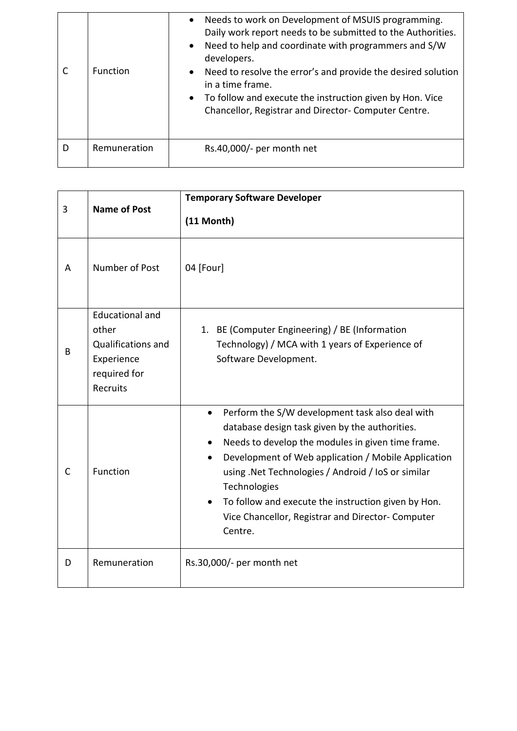|   | Function     | Needs to work on Development of MSUIS programming.<br>$\bullet$<br>Daily work report needs to be submitted to the Authorities.<br>Need to help and coordinate with programmers and S/W<br>$\bullet$<br>developers.<br>• Need to resolve the error's and provide the desired solution<br>in a time frame.<br>• To follow and execute the instruction given by Hon. Vice<br>Chancellor, Registrar and Director-Computer Centre. |
|---|--------------|-------------------------------------------------------------------------------------------------------------------------------------------------------------------------------------------------------------------------------------------------------------------------------------------------------------------------------------------------------------------------------------------------------------------------------|
| D | Remuneration | $Rs.40,000/-$ per month net                                                                                                                                                                                                                                                                                                                                                                                                   |

| 3            | <b>Name of Post</b>                                                                             | <b>Temporary Software Developer</b><br>$(11 \text{ Month})$                                                                                                                                                                                                                                                                                                                                                                          |  |  |
|--------------|-------------------------------------------------------------------------------------------------|--------------------------------------------------------------------------------------------------------------------------------------------------------------------------------------------------------------------------------------------------------------------------------------------------------------------------------------------------------------------------------------------------------------------------------------|--|--|
| Α            | Number of Post                                                                                  | 04 [Four]                                                                                                                                                                                                                                                                                                                                                                                                                            |  |  |
| B            | <b>Educational and</b><br>other<br>Qualifications and<br>Experience<br>required for<br>Recruits | 1. BE (Computer Engineering) / BE (Information<br>Technology) / MCA with 1 years of Experience of<br>Software Development.                                                                                                                                                                                                                                                                                                           |  |  |
| $\mathsf{C}$ | Function                                                                                        | Perform the S/W development task also deal with<br>$\bullet$<br>database design task given by the authorities.<br>Needs to develop the modules in given time frame.<br>Development of Web application / Mobile Application<br>$\bullet$<br>using .Net Technologies / Android / IoS or similar<br>Technologies<br>To follow and execute the instruction given by Hon.<br>Vice Chancellor, Registrar and Director- Computer<br>Centre. |  |  |
| D            | Remuneration                                                                                    | Rs.30,000/- per month net                                                                                                                                                                                                                                                                                                                                                                                                            |  |  |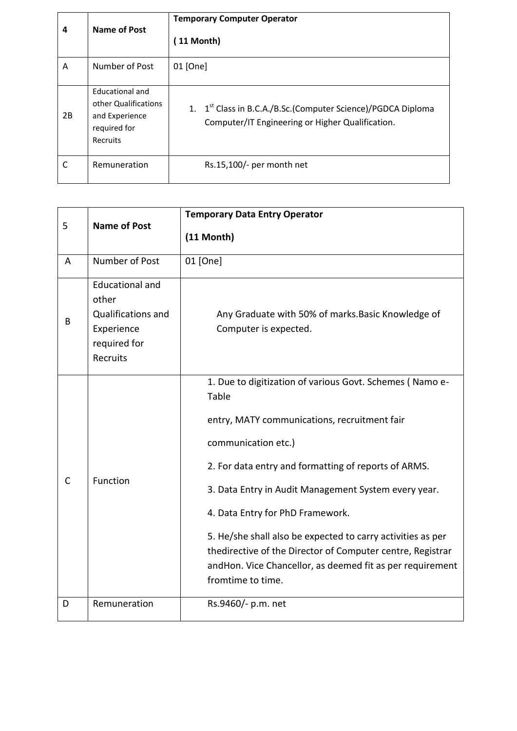| 4  | <b>Name of Post</b>                                                                   | <b>Temporary Computer Operator</b><br>11 Month)                                                                              |  |  |
|----|---------------------------------------------------------------------------------------|------------------------------------------------------------------------------------------------------------------------------|--|--|
| A  | Number of Post                                                                        | 01 [One]                                                                                                                     |  |  |
| 2B | Educational and<br>other Qualifications<br>and Experience<br>required for<br>Recruits | 1. 1 <sup>st</sup> Class in B.C.A./B.Sc.(Computer Science)/PGDCA Diploma<br>Computer/IT Engineering or Higher Qualification. |  |  |
| C  | Remuneration                                                                          | Rs.15,100/- per month net                                                                                                    |  |  |

| 5 | <b>Name of Post</b>                                                                                    | <b>Temporary Data Entry Operator</b>                                                                                                                                                                                                                                                                                                                                                                                                                                                                        |
|---|--------------------------------------------------------------------------------------------------------|-------------------------------------------------------------------------------------------------------------------------------------------------------------------------------------------------------------------------------------------------------------------------------------------------------------------------------------------------------------------------------------------------------------------------------------------------------------------------------------------------------------|
|   |                                                                                                        | (11 Month)                                                                                                                                                                                                                                                                                                                                                                                                                                                                                                  |
| A | Number of Post                                                                                         | 01 [One]                                                                                                                                                                                                                                                                                                                                                                                                                                                                                                    |
| B | <b>Educational and</b><br>other<br><b>Qualifications and</b><br>Experience<br>required for<br>Recruits | Any Graduate with 50% of marks. Basic Knowledge of<br>Computer is expected.                                                                                                                                                                                                                                                                                                                                                                                                                                 |
| C | Function                                                                                               | 1. Due to digitization of various Govt. Schemes (Namo e-<br>Table<br>entry, MATY communications, recruitment fair<br>communication etc.)<br>2. For data entry and formatting of reports of ARMS.<br>3. Data Entry in Audit Management System every year.<br>4. Data Entry for PhD Framework.<br>5. He/she shall also be expected to carry activities as per<br>thedirective of the Director of Computer centre, Registrar<br>andHon. Vice Chancellor, as deemed fit as per requirement<br>fromtime to time. |
| D | Remuneration                                                                                           | Rs.9460/- p.m. net                                                                                                                                                                                                                                                                                                                                                                                                                                                                                          |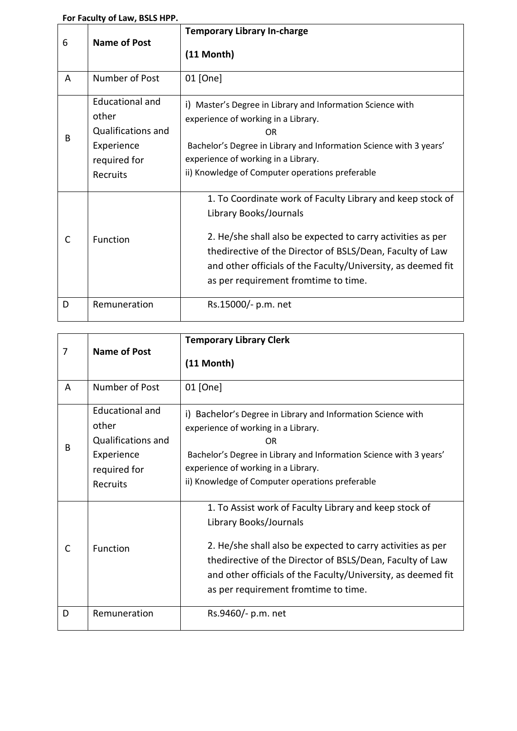|  | For Faculty of Law, BSLS HPP. |  |  |  |  |
|--|-------------------------------|--|--|--|--|
|--|-------------------------------|--|--|--|--|

| 6 | <b>Name of Post</b>                                                                             | <b>Temporary Library In-charge</b><br>$(11 \text{ Month})$                                                                                                                                                                                                                                                               |  |
|---|-------------------------------------------------------------------------------------------------|--------------------------------------------------------------------------------------------------------------------------------------------------------------------------------------------------------------------------------------------------------------------------------------------------------------------------|--|
| A | Number of Post                                                                                  | 01 [One]                                                                                                                                                                                                                                                                                                                 |  |
| B | Educational and<br>other<br><b>Qualifications and</b><br>Experience<br>required for<br>Recruits | i) Master's Degree in Library and Information Science with<br>experience of working in a Library.<br><b>OR</b><br>Bachelor's Degree in Library and Information Science with 3 years'<br>experience of working in a Library.<br>ii) Knowledge of Computer operations preferable                                           |  |
| C | Function                                                                                        | 1. To Coordinate work of Faculty Library and keep stock of<br>Library Books/Journals<br>2. He/she shall also be expected to carry activities as per<br>thedirective of the Director of BSLS/Dean, Faculty of Law<br>and other officials of the Faculty/University, as deemed fit<br>as per requirement fromtime to time. |  |
| D | Remuneration                                                                                    | Rs.15000/- p.m. net                                                                                                                                                                                                                                                                                                      |  |

| 7 | <b>Name of Post</b>                                                                                    | <b>Temporary Library Clerk</b><br>$(11 \text{ Month})$                                                                                                                                                                                                                                                               |  |
|---|--------------------------------------------------------------------------------------------------------|----------------------------------------------------------------------------------------------------------------------------------------------------------------------------------------------------------------------------------------------------------------------------------------------------------------------|--|
| A | Number of Post                                                                                         | 01 [One]                                                                                                                                                                                                                                                                                                             |  |
| B | Educational and<br>other<br><b>Qualifications and</b><br>Experience<br>required for<br><b>Recruits</b> | i) Bachelor's Degree in Library and Information Science with<br>experience of working in a Library.<br>0 <sub>R</sub><br>Bachelor's Degree in Library and Information Science with 3 years'<br>experience of working in a Library.<br>ii) Knowledge of Computer operations preferable                                |  |
| C | Function                                                                                               | 1. To Assist work of Faculty Library and keep stock of<br>Library Books/Journals<br>2. He/she shall also be expected to carry activities as per<br>thedirective of the Director of BSLS/Dean, Faculty of Law<br>and other officials of the Faculty/University, as deemed fit<br>as per requirement fromtime to time. |  |
| D | Remuneration                                                                                           | Rs.9460/- p.m. net                                                                                                                                                                                                                                                                                                   |  |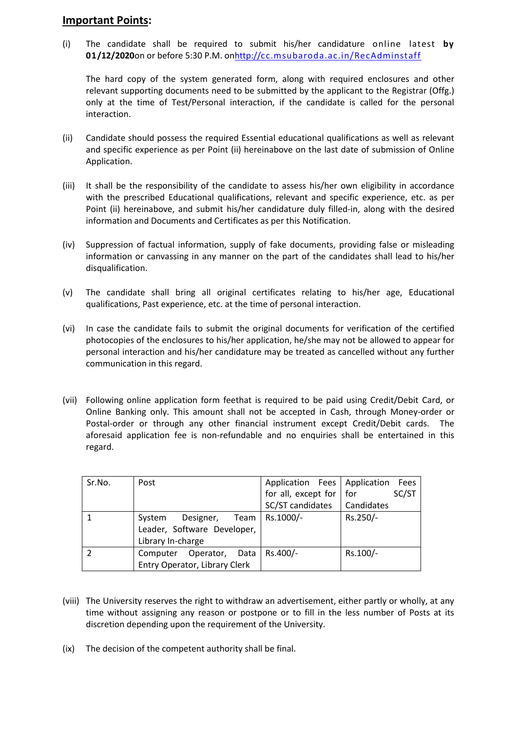#### **Important Points:**

(i) The candidate shall be required to submit his/her candidature online latest **by 01/12/2020**on or before 5:30 P.M. o[nhttp://cc.msubaroda.ac.in/RecAdminstaff](http://cc.msubaroda.ac.in/RecAdminstaff)

The hard copy of the system generated form, along with required enclosures and other relevant supporting documents need to be submitted by the applicant to the Registrar (Offg.) only at the time of Test/Personal interaction, if the candidate is called for the personal interaction.

- (ii) Candidate should possess the required Essential educational qualifications as well as relevant and specific experience as per Point (ii) hereinabove on the last date of submission of Online Application.
- (iii) It shall be the responsibility of the candidate to assess his/her own eligibility in accordance with the prescribed Educational qualifications, relevant and specific experience, etc. as per Point (ii) hereinabove, and submit his/her candidature duly filled-in, along with the desired information and Documents and Certificates as per this Notification.
- (iv) Suppression of factual information, supply of fake documents, providing false or misleading information or canvassing in any manner on the part of the candidates shall lead to his/her disqualification.
- (v) The candidate shall bring all original certificates relating to his/her age, Educational qualifications, Past experience, etc. at the time of personal interaction.
- (vi) In case the candidate fails to submit the original documents for verification of the certified photocopies of the enclosures to his/her application, he/she may not be allowed to appear for personal interaction and his/her candidature may be treated as cancelled without any further communication in this regard.
- (vii) Following online application form feethat is required to be paid using Credit/Debit Card, or Online Banking only. This amount shall not be accepted in Cash, through Money-order or Postal-order or through any other financial instrument except Credit/Debit cards. The aforesaid application fee is non-refundable and no enquiries shall be entertained in this regard.

| Sr.No. | Post                          | Application Fees   Application  | Fees     |
|--------|-------------------------------|---------------------------------|----------|
|        |                               | for all, except for $\vert$ for | SC/ST    |
|        |                               | SC/ST candidates   Candidates   |          |
|        | Designer,<br>System           | Team   Rs.1000/-                | Rs.250/- |
|        | Leader, Software Developer,   |                                 |          |
|        | Library In-charge             |                                 |          |
|        | Computer Operator, Data       | Rs.400/-                        | Rs.100/- |
|        | Entry Operator, Library Clerk |                                 |          |

- (viii) The University reserves the right to withdraw an advertisement, either partly or wholly, at any time without assigning any reason or postpone or to fill in the less number of Posts at its discretion depending upon the requirement of the University.
- (ix) The decision of the competent authority shall be final.